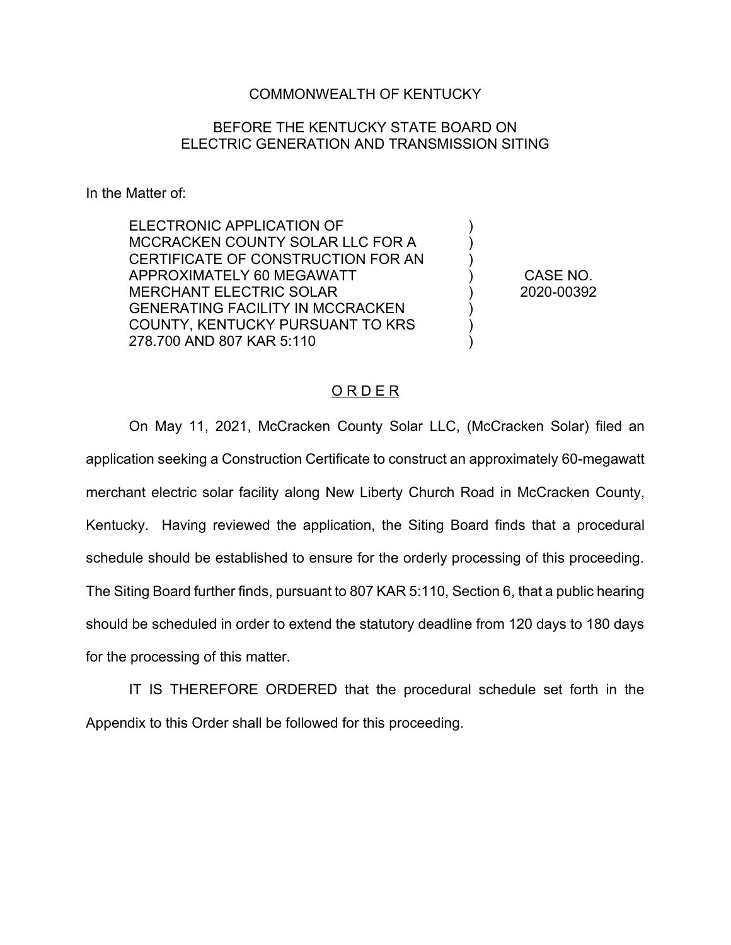## COMMONWEALTH OF KENTUCKY

## BEFORE THE KENTUCKY STATE BOARD ON ELECTRIC GENERATION AND TRANSMISSION SITING

In the Matter of:

ELECTRONIC APPLICATION OF MCCRACKEN COUNTY SOLAR LLC FOR A CERTIFICATE OF CONSTRUCTION FOR AN APPROXIMATELY 60 MEGAWATT MERCHANT ELECTRIC SOLAR GENERATING FACILITY IN MCCRACKEN COUNTY, KENTUCKY PURSUANT TO KRS 278.700 AND 807 KAR 5:110

CASE NO. 2020-00392

) ) ) ) ) ) ) )

#### O R D E R

On May 11, 2021, McCracken County Solar LLC, (McCracken Solar) filed an application seeking a Construction Certificate to construct an approximately 60-megawatt merchant electric solar facility along New Liberty Church Road in McCracken County, Kentucky. Having reviewed the application, the Siting Board finds that a procedural schedule should be established to ensure for the orderly processing of this proceeding. The Siting Board further finds, pursuant to 807 KAR 5:110, Section 6, that a public hearing should be scheduled in order to extend the statutory deadline from 120 days to 180 days for the processing of this matter.

IT IS THEREFORE ORDERED that the procedural schedule set forth in the Appendix to this Order shall be followed for this proceeding.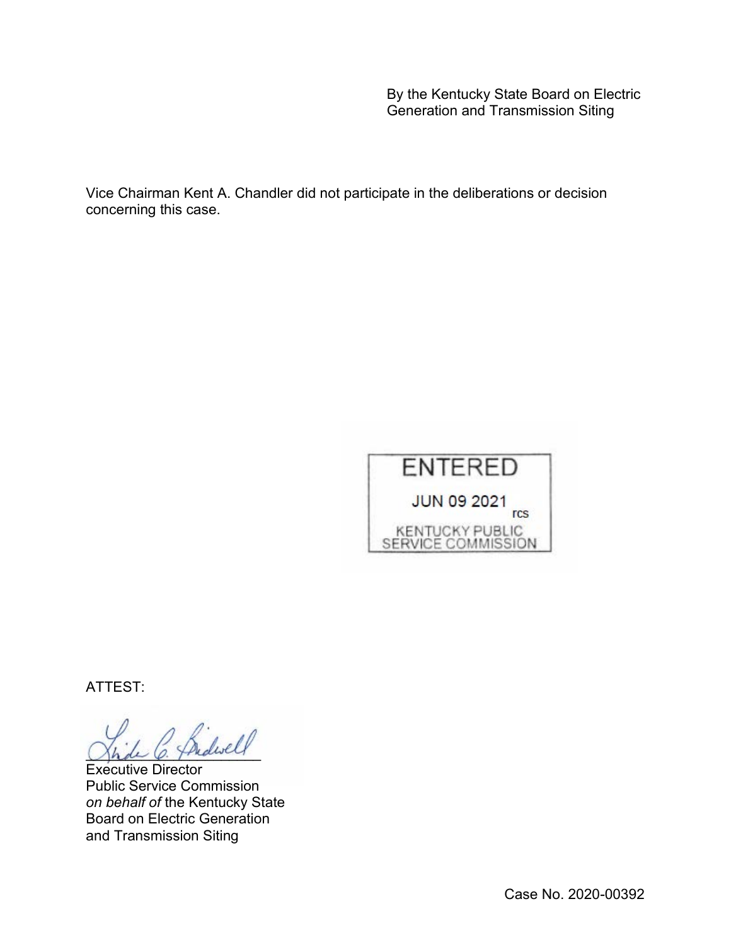By the Kentucky State Board on Electric Generation and Transmission Siting

Vice Chairman Kent A. Chandler did not participate in the deliberations or decision concerning this case.



ATTEST:

 $_{dwell}$ 

Executive Director Public Service Commission *on behalf of* the Kentucky State Board on Electric Generation and Transmission Siting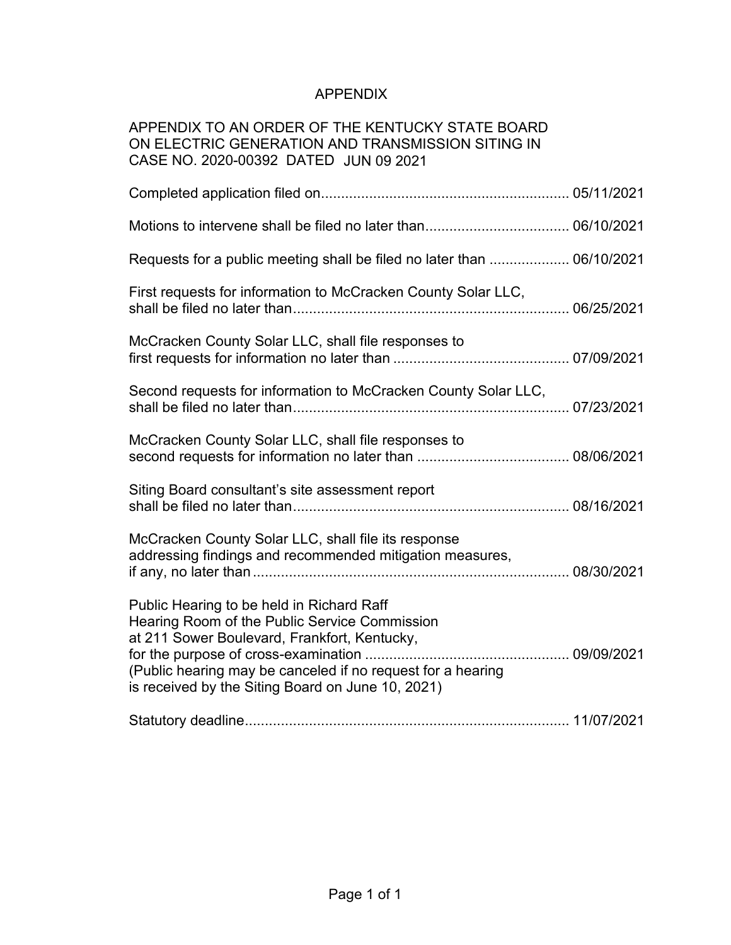# APPENDIX

## APPENDIX TO AN ORDER OF THE KENTUCKY STATE BOARD ON ELECTRIC GENERATION AND TRANSMISSION SITING IN CASE NO. 2020-00392 DATED JUN 09 2021

| Requests for a public meeting shall be filed no later than  06/10/2021                                                                                                                                                                                         |  |
|----------------------------------------------------------------------------------------------------------------------------------------------------------------------------------------------------------------------------------------------------------------|--|
| First requests for information to McCracken County Solar LLC,                                                                                                                                                                                                  |  |
| McCracken County Solar LLC, shall file responses to                                                                                                                                                                                                            |  |
| Second requests for information to McCracken County Solar LLC,                                                                                                                                                                                                 |  |
| McCracken County Solar LLC, shall file responses to                                                                                                                                                                                                            |  |
| Siting Board consultant's site assessment report                                                                                                                                                                                                               |  |
| McCracken County Solar LLC, shall file its response<br>addressing findings and recommended mitigation measures,                                                                                                                                                |  |
| Public Hearing to be held in Richard Raff<br>Hearing Room of the Public Service Commission<br>at 211 Sower Boulevard, Frankfort, Kentucky,<br>(Public hearing may be canceled if no request for a hearing<br>is received by the Siting Board on June 10, 2021) |  |
|                                                                                                                                                                                                                                                                |  |